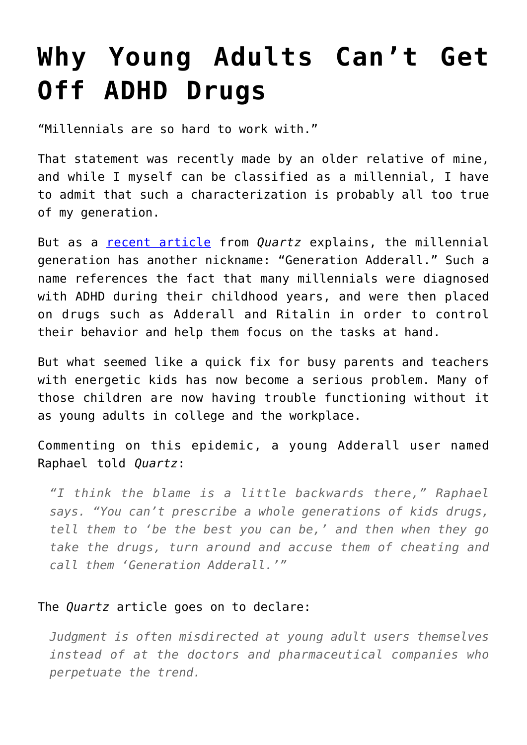## **[Why Young Adults Can't Get](https://intellectualtakeout.org/2016/10/why-young-adults-cant-get-off-adhd-drugs/) [Off ADHD Drugs](https://intellectualtakeout.org/2016/10/why-young-adults-cant-get-off-adhd-drugs/)**

"Millennials are so hard to work with."

That statement was recently made by an older relative of mine, and while I myself can be classified as a millennial, I have to admit that such a characterization is probably all too true of my generation.

But as a [recent article](https://qz.com/812604/millennials-took-adderall-to-get-through-school-now-theyve-taken-their-addiction-to-the-workplace/) from *Quartz* explains, the millennial generation has another nickname: "Generation Adderall." Such a name references the fact that many millennials were diagnosed with ADHD during their childhood years, and were then placed on drugs such as Adderall and Ritalin in order to control their behavior and help them focus on the tasks at hand.

But what seemed like a quick fix for busy parents and teachers with energetic kids has now become a serious problem. Many of those children are now having trouble functioning without it as young adults in college and the workplace.

Commenting on this epidemic, a young Adderall user named Raphael told *Quartz*:

*"I think the blame is a little backwards there," Raphael says. "You can't prescribe a whole generations of kids drugs, tell them to 'be the best you can be,' and then when they go take the drugs, turn around and accuse them of cheating and call them 'Generation Adderall.'"*

## The *Quartz* article goes on to declare:

*Judgment is often misdirected at young adult users themselves instead of at the doctors and pharmaceutical companies who perpetuate the trend.*